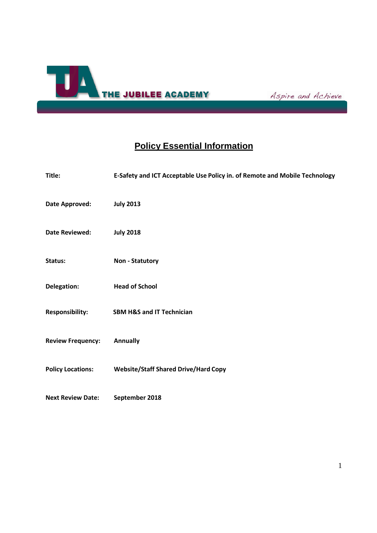

Aspire and Achieve

# **Policy Essential Information**

| Title:                   | E-Safety and ICT Acceptable Use Policy in. of Remote and Mobile Technology |
|--------------------------|----------------------------------------------------------------------------|
| Date Approved:           | <b>July 2013</b>                                                           |
| <b>Date Reviewed:</b>    | <b>July 2018</b>                                                           |
| Status:                  | <b>Non - Statutory</b>                                                     |
| Delegation:              | <b>Head of School</b>                                                      |
| <b>Responsibility:</b>   | <b>SBM H&amp;S and IT Technician</b>                                       |
| <b>Review Frequency:</b> | <b>Annually</b>                                                            |
| <b>Policy Locations:</b> | <b>Website/Staff Shared Drive/Hard Copy</b>                                |
| <b>Next Review Date:</b> | September 2018                                                             |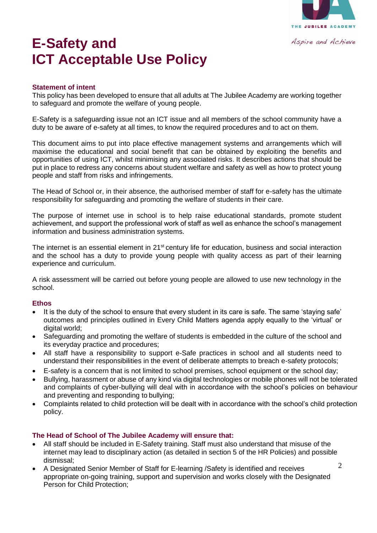

# **E-Safety and ICT Acceptable Use Policy**

#### **Statement of intent**

This policy has been developed to ensure that all adults at The Jubilee Academy are working together to safeguard and promote the welfare of young people.

E-Safety is a safeguarding issue not an ICT issue and all members of the school community have a duty to be aware of e-safety at all times, to know the required procedures and to act on them.

This document aims to put into place effective management systems and arrangements which will maximise the educational and social benefit that can be obtained by exploiting the benefits and opportunities of using ICT, whilst minimising any associated risks. It describes actions that should be put in place to redress any concerns about student welfare and safety as well as how to protect young people and staff from risks and infringements.

The Head of School or, in their absence, the authorised member of staff for e-safety has the ultimate responsibility for safeguarding and promoting the welfare of students in their care.

The purpose of internet use in school is to help raise educational standards, promote student achievement, and support the professional work of staff as well as enhance the school's management information and business administration systems.

The internet is an essential element in 21<sup>st</sup> century life for education, business and social interaction and the school has a duty to provide young people with quality access as part of their learning experience and curriculum.

A risk assessment will be carried out before young people are allowed to use new technology in the school.

#### **Ethos**

- It is the duty of the school to ensure that every student in its care is safe. The same 'staying safe' outcomes and principles outlined in Every Child Matters agenda apply equally to the 'virtual' or digital world;
- Safeguarding and promoting the welfare of students is embedded in the culture of the school and its everyday practice and procedures;
- All staff have a responsibility to support e-Safe practices in school and all students need to understand their responsibilities in the event of deliberate attempts to breach e-safety protocols;
- E-safety is a concern that is not limited to school premises, school equipment or the school day;
- Bullying, harassment or abuse of any kind via digital technologies or mobile phones will not be tolerated and complaints of cyber-bullying will deal with in accordance with the school's policies on behaviour and preventing and responding to bullying;
- Complaints related to child protection will be dealt with in accordance with the school's child protection policy.

# **The Head of School of The Jubilee Academy will ensure that:**

- All staff should be included in E-Safety training. Staff must also understand that misuse of the internet may lead to disciplinary action (as detailed in section 5 of the HR Policies) and possible dismissal;
- A Designated Senior Member of Staff for E-learning /Safety is identified and receives appropriate on-going training, support and supervision and works closely with the Designated Person for Child Protection;

2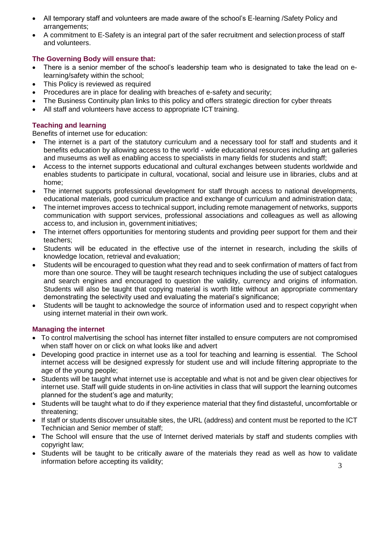- All temporary staff and volunteers are made aware of the school's E-learning /Safety Policy and arrangements;
- A commitment to E-Safety is an integral part of the safer recruitment and selection process of staff and volunteers.

# **The Governing Body will ensure that:**

- There is a senior member of the school's leadership team who is designated to take the lead on elearning/safety within the school;
- This Policy is reviewed as required
- Procedures are in place for dealing with breaches of e-safety and security;
- The Business Continuity plan links to this policy and offers strategic direction for cyber threats
- All staff and volunteers have access to appropriate ICT training.

# **Teaching and learning**

Benefits of internet use for education:

- The internet is a part of the statutory curriculum and a necessary tool for staff and students and it benefits education by allowing access to the world - wide educational resources including art galleries and museums as well as enabling access to specialists in many fields for students and staff;
- Access to the internet supports educational and cultural exchanges between students worldwide and enables students to participate in cultural, vocational, social and leisure use in libraries, clubs and at home;
- The internet supports professional development for staff through access to national developments, educational materials, good curriculum practice and exchange of curriculum and administration data;
- The internet improves access to technical support, including remote management of networks, supports communication with support services, professional associations and colleagues as well as allowing access to, and inclusion in, government initiatives;
- The internet offers opportunities for mentoring students and providing peer support for them and their teachers;
- Students will be educated in the effective use of the internet in research, including the skills of knowledge location, retrieval and evaluation;
- Students will be encouraged to question what they read and to seek confirmation of matters of fact from more than one source. They will be taught research techniques including the use of subject catalogues and search engines and encouraged to question the validity, currency and origins of information. Students will also be taught that copying material is worth little without an appropriate commentary demonstrating the selectivity used and evaluating the material's significance;
- Students will be taught to acknowledge the source of information used and to respect copyright when using internet material in their own work.

# **Managing the internet**

- To control malvertising the school has internet filter installed to ensure computers are not compromised when staff hover on or click on what looks like and advert
- Developing good practice in internet use as a tool for teaching and learning is essential. The School internet access will be designed expressly for student use and will include filtering appropriate to the age of the young people;
- Students will be taught what internet use is acceptable and what is not and be given clear objectives for internet use. Staff will guide students in on-line activities in class that will support the learning outcomes planned for the student's age and maturity;
- Students will be taught what to do if they experience material that they find distasteful, uncomfortable or threatening;
- If staff or students discover unsuitable sites, the URL (address) and content must be reported to the ICT Technician and Senior member of staff;
- The School will ensure that the use of Internet derived materials by staff and students complies with copyright law;
- Students will be taught to be critically aware of the materials they read as well as how to validate information before accepting its validity;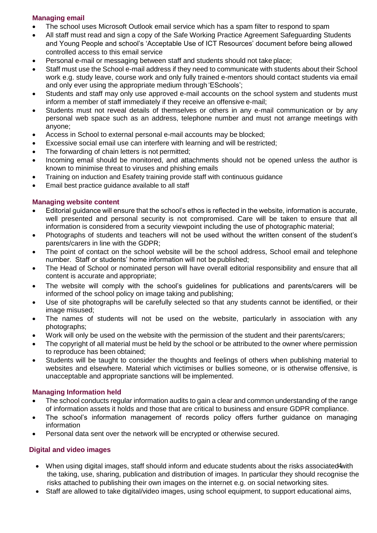# **Managing email**

- The school uses Microsoft Outlook email service which has a spam filter to respond to spam
- All staff must read and sign a copy of the Safe Working Practice Agreement Safeguarding Students and Young People and school's 'Acceptable Use of ICT Resources' document before being allowed controlled access to this email service
- Personal e-mail or messaging between staff and students should not take place;
- Staff must use the School e-mail address if they need to communicate with students about their School work e.g. study leave, course work and only fully trained e-mentors should contact students via email and only ever using the appropriate medium through 'ESchools';
- Students and staff may only use approved e-mail accounts on the school system and students must inform a member of staff immediately if they receive an offensive e-mail;
- Students must not reveal details of themselves or others in any e-mail communication or by any personal web space such as an address, telephone number and must not arrange meetings with anyone;
- Access in School to external personal e-mail accounts may be blocked;
- Excessive social email use can interfere with learning and will be restricted;
- The forwarding of chain letters is not permitted;
- Incoming email should be monitored, and attachments should not be opened unless the author is known to minimise threat to viruses and phishing emails
- Training on induction and Esafety training provide staff with continuous guidance
- Email best practice guidance available to all staff

# **Managing website content**

- Editorial guidance will ensure that the school's ethos is reflected in the website, information is accurate, well presented and personal security is not compromised. Care will be taken to ensure that all information is considered from a security viewpoint including the use of photographic material;
- Photographs of students and teachers will not be used without the written consent of the student's parents/carers in line with the GDPR;
- The point of contact on the school website will be the school address, School email and telephone number. Staff or students' home information will not be published;
- The Head of School or nominated person will have overall editorial responsibility and ensure that all content is accurate and appropriate;
- The website will comply with the school's guidelines for publications and parents/carers will be informed of the school policy on image taking and publishing;
- Use of site photographs will be carefully selected so that any students cannot be identified, or their image misused;
- The names of students will not be used on the website, particularly in association with any photographs;
- Work will only be used on the website with the permission of the student and their parents/carers;
- The copyright of all material must be held by the school or be attributed to the owner where permission to reproduce has been obtained;
- Students will be taught to consider the thoughts and feelings of others when publishing material to websites and elsewhere. Material which victimises or bullies someone, or is otherwise offensive, is unacceptable and appropriate sanctions will be implemented.

# **Managing Information held**

- The school conducts regular information audits to gain a clear and common understanding of the range of information assets it holds and those that are critical to business and ensure GDPR compliance.
- The school's information management of records policy offers further guidance on managing information
- Personal data sent over the network will be encrypted or otherwise secured.

# **Digital and video images**

- When using digital images, staff should inform and educate students about the risks associated 4with the taking, use, sharing, publication and distribution of images. In particular they should recognise the risks attached to publishing their own images on the internet e.g. on social networking sites.
- Staff are allowed to take digital/video images, using school equipment, to support educational aims,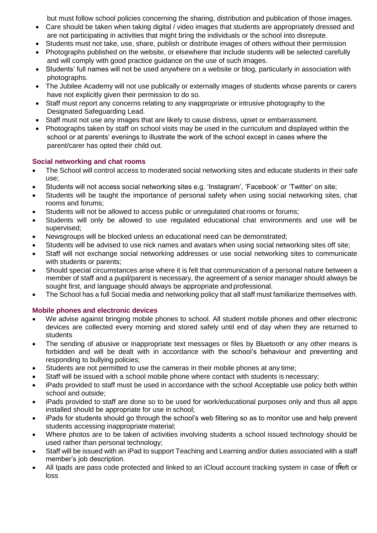but must follow school policies concerning the sharing, distribution and publication of those images.

- Care should be taken when taking digital / video images that students are appropriately dressed and are not participating in activities that might bring the individuals or the school into disrepute.
- Students must not take, use, share, publish or distribute images of others without their permission
- Photographs published on the website, or elsewhere that include students will be selected carefully and will comply with good practice guidance on the use of such images.
- Students' full names will not be used anywhere on a website or blog, particularly in association with photographs.
- The Jubilee Academy will not use publically or externally images of students whose parents or carers have not explicitly given their permission to do so.
- Staff must report any concerns relating to any inappropriate or intrusive photography to the Designated Safeguarding Lead.
- Staff must not use any images that are likely to cause distress, upset or embarrassment.
- Photographs taken by staff on school visits may be used in the curriculum and displayed within the school or at parents' evenings to illustrate the work of the school except in cases where the parent/carer has opted their child out.

# **Social networking and chat rooms**

- The School will control access to moderated social networking sites and educate students in their safe use;
- Students will not access social networking sites e.g. 'Instagram', 'Facebook' or 'Twitter' on site;
- Students will be taught the importance of personal safety when using social networking sites, chat rooms and forums;
- Students will not be allowed to access public or unregulated chat rooms or forums;
- Students will only be allowed to use regulated educational chat environments and use will be supervised;
- Newsgroups will be blocked unless an educational need can be demonstrated;
- Students will be advised to use nick names and avatars when using social networking sites off site;
- Staff will not exchange social networking addresses or use social networking sites to communicate with students or parents;
- Should special circumstances arise where it is felt that communication of a personal nature between a member of staff and a pupil/parent is necessary, the agreement of a senior manager should always be sought first, and language should always be appropriate and professional.
- The School has a full Social media and networking policy that all staff must familiarize themselves with.

# **Mobile phones and electronic devices**

- We advise against bringing mobile phones to school. All student mobile phones and other electronic devices are collected every morning and stored safely until end of day when they are returned to students
- The sending of abusive or inappropriate text messages or files by Bluetooth or any other means is forbidden and will be dealt with in accordance with the school's behaviour and preventing and responding to bullying policies;
- Students are not permitted to use the cameras in their mobile phones at any time;
- Staff will be issued with a school mobile phone where contact with students is necessary;
- iPads provided to staff must be used in accordance with the school Acceptable use policy both within school and outside;
- iPads provided to staff are done so to be used for work/educational purposes only and thus all apps installed should be appropriate for use in school;
- iPads for students should go through the school's web filtering so as to monitor use and help prevent students accessing inappropriate material;
- Where photos are to be taken of activities involving students a school issued technology should be used rather than personal technology;
- Staff will be issued with an iPad to support Teaching and Learning and/or duties associated with a staff member's job description.
- All Ipads are pass code protected and linked to an iCloud account tracking system in case of theft or loss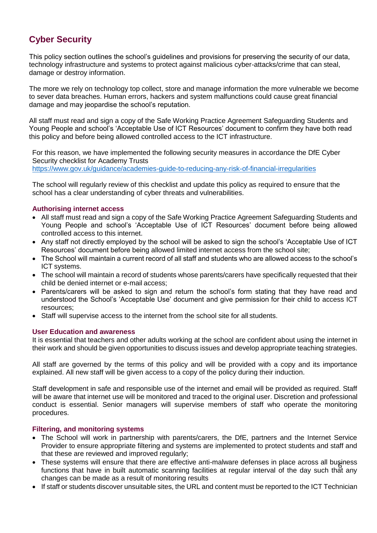# **Cyber Security**

This policy section outlines the school's guidelines and provisions for preserving the security of our data, technology infrastructure and systems to protect against malicious cyber-attacks/crime that can steal, damage or destroy information.

The more we rely on technology top collect, store and manage information the more vulnerable we become to sever data breaches. Human errors, hackers and system malfunctions could cause great financial damage and may jeopardise the school's reputation.

All staff must read and sign a copy of the Safe Working Practice Agreement Safeguarding Students and Young People and school's 'Acceptable Use of ICT Resources' document to confirm they have both read this policy and before being allowed controlled access to the ICT infrastructure.

For this reason, we have implemented the following security measures in accordance the DfE Cyber Security checklist for Academy Trusts <https://www.gov.uk/guidance/academies-guide-to-reducing-any-risk-of-financial-irregularities>

The school will regularly review of this checklist and update this policy as required to ensure that the school has a clear understanding of cyber threats and vulnerabilities.

# **Authorising internet access**

- All staff must read and sign a copy of the Safe Working Practice Agreement Safeguarding Students and Young People and school's 'Acceptable Use of ICT Resources' document before being allowed controlled access to this internet.
- Any staff not directly employed by the school will be asked to sign the school's 'Acceptable Use of ICT Resources' document before being allowed limited internet access from the school site;
- The School will maintain a current record of all staff and students who are allowed access to the school's ICT systems.
- The school will maintain a record of students whose parents/carers have specifically requested that their child be denied internet or e-mail access;
- Parents/carers will be asked to sign and return the school's form stating that they have read and understood the School's 'Acceptable Use' document and give permission for their child to access ICT resources;
- Staff will supervise access to the internet from the school site for all students.

# **User Education and awareness**

It is essential that teachers and other adults working at the school are confident about using the internet in their work and should be given opportunities to discuss issues and develop appropriate teaching strategies.

All staff are governed by the terms of this policy and will be provided with a copy and its importance explained. All new staff will be given access to a copy of the policy during their induction.

Staff development in safe and responsible use of the internet and email will be provided as required. Staff will be aware that internet use will be monitored and traced to the original user. Discretion and professional conduct is essential. Senior managers will supervise members of staff who operate the monitoring procedures.

# **Filtering, and monitoring systems**

- The School will work in partnership with parents/carers, the DfE, partners and the Internet Service Provider to ensure appropriate filtering and systems are implemented to protect students and staff and that these are reviewed and improved regularly;
- These systems will ensure that there are effective anti-malware defenses in place across all business<br>timetias at that have in built automatic according facilities at regular interval of the day such that any functions that have in built automatic scanning facilities at regular interval of the day such that any changes can be made as a result of monitoring results
- If staff or students discover unsuitable sites, the URL and content must be reported to the ICT Technician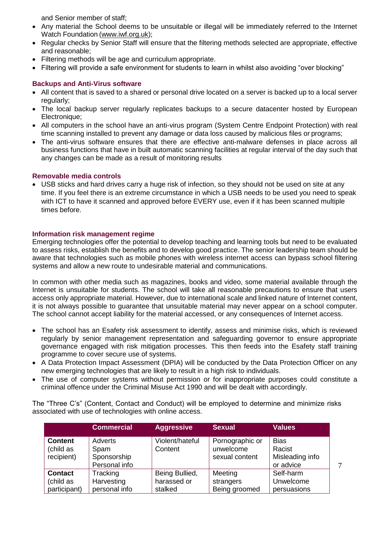and Senior member of staff;

- Any material the School deems to be unsuitable or illegal will be immediately referred to the Internet Watch Foundation [\(www.iwf.org.uk\)](http://www.iwf.org.uk/);
- Regular checks by Senior Staff will ensure that the filtering methods selected are appropriate, effective and reasonable;
- Filtering methods will be age and curriculum appropriate.
- Filtering will provide a safe environment for students to learn in whilst also avoiding "over blocking"

# **Backups and Anti-Virus software**

- All content that is saved to a shared or personal drive located on a server is backed up to a local server regularly;
- The local backup server regularly replicates backups to a secure datacenter hosted by European Electronique;
- All computers in the school have an anti-virus program (System Centre Endpoint Protection) with real time scanning installed to prevent any damage or data loss caused by malicious files or programs;
- The anti-virus software ensures that there are effective anti-malware defenses in place across all business functions that have in built automatic scanning facilities at regular interval of the day such that any changes can be made as a result of monitoring results

# **Removable media controls**

• USB sticks and hard drives carry a huge risk of infection, so they should not be used on site at any time. If you feel there is an extreme circumstance in which a USB needs to be used you need to speak with ICT to have it scanned and approved before EVERY use, even if it has been scanned multiple times before.

# **Information risk management regime**

Emerging technologies offer the potential to develop teaching and learning tools but need to be evaluated to assess risks, establish the benefits and to develop good practice. The senior leadership team should be aware that technologies such as mobile phones with wireless internet access can bypass school filtering systems and allow a new route to undesirable material and communications.

In common with other media such as magazines, books and video, some material available through the Internet is unsuitable for students. The school will take all reasonable precautions to ensure that users access only appropriate material. However, due to international scale and linked nature of Internet content, it is not always possible to guarantee that unsuitable material may never appear on a school computer. The school cannot accept liability for the material accessed, or any consequences of Internet access.

- The school has an Esafety risk assessment to identify, assess and minimise risks, which is reviewed regularly by senior management representation and safeguarding governor to ensure appropriate governance engaged with risk mitigation processes. This then feeds into the Esafety staff training programme to cover secure use of systems.
- A Data Protection Impact Assessment (DPIA) will be conducted by the Data Protection Officer on any new emerging technologies that are likely to result in a high risk to individuals.
- The use of computer systems without permission or for inappropriate purposes could constitute a criminal offence under the Criminal Misuse Act 1990 and will be dealt with accordingly.

The "Three C's" (Content, Contact and Conduct) will be employed to determine and minimize risks associated with use of technologies with online access.

|                                           | <b>Commercial</b>              | <b>Aggressive</b>          | <b>Sexual</b>                                  | <b>Values</b>                            |        |
|-------------------------------------------|--------------------------------|----------------------------|------------------------------------------------|------------------------------------------|--------|
| <b>Content</b><br>(child as<br>recipient) | Adverts<br>Spam<br>Sponsorship | Violent/hateful<br>Content | Pornographic or<br>unwelcome<br>sexual content | <b>Bias</b><br>Racist<br>Misleading info |        |
|                                           | Personal info                  |                            |                                                | or advice                                | $\tau$ |
| <b>Contact</b>                            | Tracking                       | Being Bullied,             | Meeting                                        | Self-harm                                |        |
| (child as                                 | Harvesting                     | harassed or                | strangers                                      | Unwelcome                                |        |
| participant)                              | personal info                  | stalked                    | Being groomed                                  | persuasions                              |        |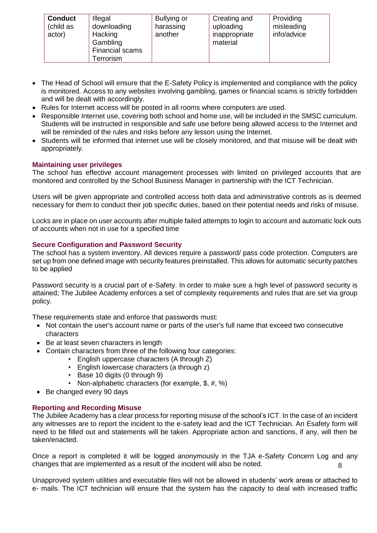| <b>Conduct</b><br>(child as<br>actor) | Illegal<br>downloading<br>Hacking<br>Gambling<br><b>Financial scams</b><br>Terrorism | Bullying or<br>harassing<br>another | Creating and<br>uploading<br>inappropriate<br>material | Providing<br>misleading<br>info/advice |
|---------------------------------------|--------------------------------------------------------------------------------------|-------------------------------------|--------------------------------------------------------|----------------------------------------|
|---------------------------------------|--------------------------------------------------------------------------------------|-------------------------------------|--------------------------------------------------------|----------------------------------------|

- The Head of School will ensure that the E-Safety Policy is implemented and compliance with the policy is monitored. Access to any websites involving gambling, games or financial scams is strictly forbidden and will be dealt with accordingly.
- Rules for Internet access will be posted in all rooms where computers are used.
- Responsible Internet use, covering both school and home use, will be included in the SMSC curriculum. Students will be instructed in responsible and safe use before being allowed access to the Internet and will be reminded of the rules and risks before any lesson using the Internet.
- Students will be informed that internet use will be closely monitored, and that misuse will be dealt with appropriately.

# **Maintaining user privileges**

The school has effective account management processes with limited on privileged accounts that are monitored and controlled by the School Business Manager in partnership with the ICT Technician.

Users will be given appropriate and controlled access both data and administrative controls as is deemed necessary for them to conduct their job specific duties, based on their potential needs and risks of misuse.

Locks are in place on user accounts after multiple failed attempts to login to account and automatic lock outs of accounts when not in use for a specified time

# **Secure Configuration and Password Security**

The school has a system inventory. All devices require a password/ pass code protection. Computers are set up from one defined image with security features preinstalled. This allows for automatic security patches to be applied

Password security is a crucial part of e-Safety. In order to make sure a high level of password security is attained; The Jubilee Academy enforces a set of complexity requirements and rules that are set via group policy.

These requirements state and enforce that passwords must:

- Not contain the user's account name or parts of the user's full name that exceed two consecutive characters
- Be at least seven characters in length
- Contain characters from three of the following four categories:
	- English uppercase characters (A through Z)
	- English lowercase characters (a through z)
	- Base 10 digits (0 through 9)
	- Non-alphabetic characters (for example, \$, #, %)
- Be changed every 90 days

# **Reporting and Recording Misuse**

The Jubilee Academy has a clear process for reporting misuse of the school's ICT. In the case of an incident any witnesses are to report the incident to the e-safety lead and the ICT Technician. An Esafety form will need to be filled out and statements will be taken. Appropriate action and sanctions, if any, will then be taken/enacted.

8 Once a report is completed it will be logged anonymously in the TJA e-Safety Concern Log and any changes that are implemented as a result of the incident will also be noted.

Unapproved system utilities and executable files will not be allowed in students' work areas or attached to e- mails. The ICT technician will ensure that the system has the capacity to deal with increased traffic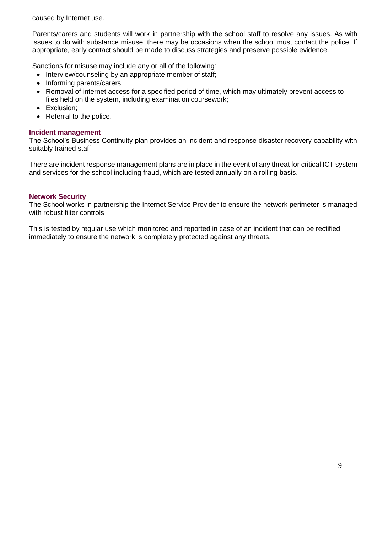caused by Internet use.

Parents/carers and students will work in partnership with the school staff to resolve any issues. As with issues to do with substance misuse, there may be occasions when the school must contact the police. If appropriate, early contact should be made to discuss strategies and preserve possible evidence.

Sanctions for misuse may include any or all of the following:

- Interview/counseling by an appropriate member of staff;
- Informing parents/carers;
- Removal of internet access for a specified period of time, which may ultimately prevent access to files held on the system, including examination coursework;
- Exclusion;
- Referral to the police.

# **Incident management**

The School's Business Continuity plan provides an incident and response disaster recovery capability with suitably trained staff

There are incident response management plans are in place in the event of any threat for critical ICT system and services for the school including fraud, which are tested annually on a rolling basis.

# **Network Security**

The School works in partnership the Internet Service Provider to ensure the network perimeter is managed with robust filter controls

This is tested by regular use which monitored and reported in case of an incident that can be rectified immediately to ensure the network is completely protected against any threats.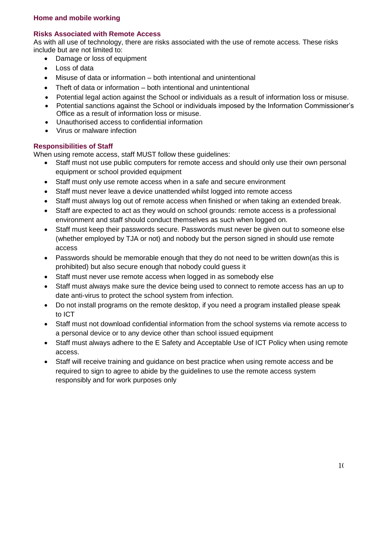# **Risks Associated with Remote Access**

As with all use of technology, there are risks associated with the use of remote access. These risks include but are not limited to:

- Damage or loss of equipment
- Loss of data
- Misuse of data or information both intentional and unintentional
- Theft of data or information both intentional and unintentional
- Potential legal action against the School or individuals as a result of information loss or misuse.
- Potential sanctions against the School or individuals imposed by the Information Commissioner's Office as a result of information loss or misuse.
- Unauthorised access to confidential information
- Virus or malware infection

# **Responsibilities of Staff**

When using remote access, staff MUST follow these guidelines:

- Staff must not use public computers for remote access and should only use their own personal equipment or school provided equipment
- Staff must only use remote access when in a safe and secure environment
- Staff must never leave a device unattended whilst logged into remote access
- Staff must always log out of remote access when finished or when taking an extended break.
- Staff are expected to act as they would on school grounds: remote access is a professional environment and staff should conduct themselves as such when logged on.
- Staff must keep their passwords secure. Passwords must never be given out to someone else (whether employed by TJA or not) and nobody but the person signed in should use remote access
- Passwords should be memorable enough that they do not need to be written down(as this is prohibited) but also secure enough that nobody could guess it
- Staff must never use remote access when logged in as somebody else
- Staff must always make sure the device being used to connect to remote access has an up to date anti-virus to protect the school system from infection.
- Do not install programs on the remote desktop, if you need a program installed please speak to ICT
- Staff must not download confidential information from the school systems via remote access to a personal device or to any device other than school issued equipment
- Staff must always adhere to the E Safety and Acceptable Use of ICT Policy when using remote access.
- Staff will receive training and guidance on best practice when using remote access and be required to sign to agree to abide by the guidelines to use the remote access system responsibly and for work purposes only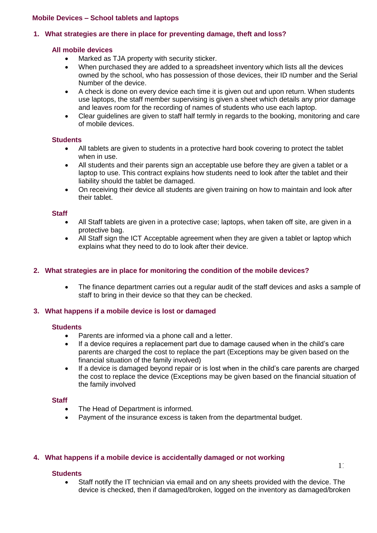# **Mobile Devices – School tablets and laptops**

# **1. What strategies are there in place for preventing damage, theft and loss?**

# **All mobile devices**

- Marked as TJA property with security sticker.
- When purchased they are added to a spreadsheet inventory which lists all the devices owned by the school, who has possession of those devices, their ID number and the Serial Number of the device.
- A check is done on every device each time it is given out and upon return. When students use laptops, the staff member supervising is given a sheet which details any prior damage and leaves room for the recording of names of students who use each laptop.
- Clear guidelines are given to staff half termly in regards to the booking, monitoring and care of mobile devices.

#### **Students**

- All tablets are given to students in a protective hard book covering to protect the tablet when in use.
- All students and their parents sign an acceptable use before they are given a tablet or a laptop to use. This contract explains how students need to look after the tablet and their liability should the tablet be damaged.
- On receiving their device all students are given training on how to maintain and look after their tablet.

#### **Staff**

- All Staff tablets are given in a protective case; laptops, when taken off site, are given in a protective bag.
- All Staff sign the ICT Acceptable agreement when they are given a tablet or laptop which explains what they need to do to look after their device.

# **2. What strategies are in place for monitoring the condition of the mobile devices?**

• The finance department carries out a regular audit of the staff devices and asks a sample of staff to bring in their device so that they can be checked.

# **3. What happens if a mobile device is lost or damaged**

#### **Students**

- Parents are informed via a phone call and a letter.
- If a device requires a replacement part due to damage caused when in the child's care parents are charged the cost to replace the part (Exceptions may be given based on the financial situation of the family involved)
- If a device is damaged beyond repair or is lost when in the child's care parents are charged the cost to replace the device (Exceptions may be given based on the financial situation of the family involved

#### **Staff**

- The Head of Department is informed.
- Payment of the insurance excess is taken from the departmental budget.

# **4. What happens if a mobile device is accidentally damaged or not working**

#### **Students**

• Staff notify the IT technician via email and on any sheets provided with the device. The device is checked, then if damaged/broken, logged on the inventory as damaged/broken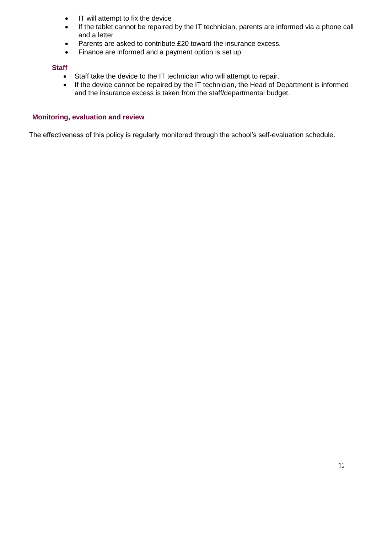- IT will attempt to fix the device
- If the tablet cannot be repaired by the IT technician, parents are informed via a phone call and a letter
- Parents are asked to contribute £20 toward the insurance excess.
- Finance are informed and a payment option is set up.

# **Staff**

- Staff take the device to the IT technician who will attempt to repair.
- If the device cannot be repaired by the IT technician, the Head of Department is informed and the insurance excess is taken from the staff/departmental budget.

# **Monitoring, evaluation and review**

The effectiveness of this policy is regularly monitored through the school's self-evaluation schedule.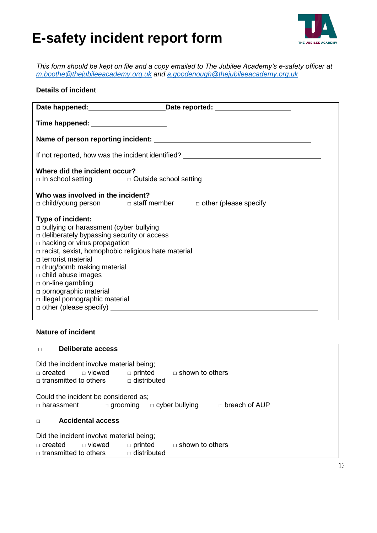# **E-safety incident report form**



*This form should be kept on file and a copy emailed to The Jubilee Academy's e-safety officer at [m.boothe@thejubileeacademy.org.uk](mailto:m.boothe@thejubileeacademy.org.uk) and [a.goodenough@thejubileeacademy.org.uk](mailto:a.goodenough@thejubileeacademy.org.uk)*

# **Details of incident**

|                                                                                                                                                                                                                                                                                                                                                                                                                        | Date happened: Date reported: Date reported:                               |  |  |  |
|------------------------------------------------------------------------------------------------------------------------------------------------------------------------------------------------------------------------------------------------------------------------------------------------------------------------------------------------------------------------------------------------------------------------|----------------------------------------------------------------------------|--|--|--|
| Time happened: ______________________                                                                                                                                                                                                                                                                                                                                                                                  |                                                                            |  |  |  |
|                                                                                                                                                                                                                                                                                                                                                                                                                        |                                                                            |  |  |  |
| If not reported, how was the incident identified? ______________________________                                                                                                                                                                                                                                                                                                                                       |                                                                            |  |  |  |
| Where did the incident occur?<br>□ In school setting<br>□ Outside school setting                                                                                                                                                                                                                                                                                                                                       |                                                                            |  |  |  |
| Who was involved in the incident?                                                                                                                                                                                                                                                                                                                                                                                      | $\Box$ child/young person $\Box$ staff member $\Box$ other (please specify |  |  |  |
| Type of incident:<br>$\Box$ bullying or harassment (cyber bullying<br>□ deliberately bypassing security or access<br>$\Box$ hacking or virus propagation<br>$\Box$ racist, sexist, homophobic religious hate material<br>$\Box$ terrorist material<br>$\Box$ drug/bomb making material<br>$\Box$ child abuse images<br>$\Box$ on-line gambling<br>$\Box$ pornographic material<br>$\Box$ illegal pornographic material | $\Box$ other (please specify) $\Box$                                       |  |  |  |

# **Nature of incident**

| <b>Deliberate access</b><br>$\Box$                                                                                                                                                 |
|------------------------------------------------------------------------------------------------------------------------------------------------------------------------------------|
| Did the incident involve material being;<br>$\Box$ printed $\Box$ shown to others<br>$\Box$ created $\Box$ viewed<br>$\Box$ transmitted to others $\Box$ distributed               |
| Could the incident be considered as;<br>$\Box$ breach of AUP<br>$\Box$ cyber bullying<br>$\Box$ grooming<br>∣□ harassment                                                          |
| <b>Accidental access</b>                                                                                                                                                           |
| Did the incident involve material being;<br>$\Box$ shown to others<br>$\Box$ viewed<br>$\Box$ printed<br>l□ created<br>$\Box$ distributed<br>$\mid$ $\sqcap$ transmitted to others |